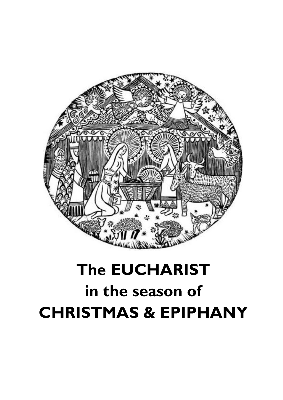

# **The EUCHARIST in the season of CHRISTMAS & EPIPHANY**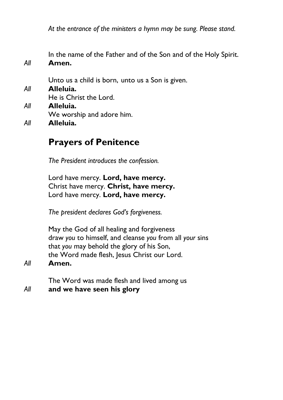*At the entrance of the ministers a hymn may be sung. Please stand.*

In the name of the Father and of the Son and of the Holy Spirit. *All* **Amen.**

Unto us a child is born, unto us a Son is given.

- *All* **Alleluia.** He is Christ the Lord. *All* **Alleluia.** We worship and adore him.
- *All* **Alleluia.**

## **Prayers of Penitence**

*The President introduces the confession.*

Lord have mercy. **Lord, have mercy.** Christ have mercy. **Christ, have mercy.** Lord have mercy. **Lord, have mercy.**

*The president declares God's forgiveness.*

May the God of all healing and forgiveness draw *you* to himself, and cleanse *you* from all *your* sins that *you* may behold the glory of his Son, the Word made flesh, Jesus Christ our Lord.

*All* **Amen.**

The Word was made flesh and lived among us *All* **and we have seen his glory**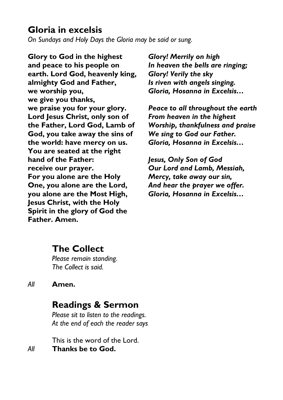## **Gloria in excelsis**

*On Sundays and Holy Days the Gloria may be said or sung.*

**Glory to God in the highest and peace to his people on earth. Lord God, heavenly king, almighty God and Father, we worship you, we give you thanks, we praise you for your glory. Lord Jesus Christ, only son of the Father, Lord God, Lamb of God, you take away the sins of the world: have mercy on us. You are seated at the right hand of the Father: receive our prayer. For you alone are the Holy One, you alone are the Lord, you alone are the Most High, Jesus Christ, with the Holy Spirit in the glory of God the Father. Amen.**

*Glory! Merrily on high In heaven the bells are ringing; Glory! Verily the sky Is riven with angels singing. Gloria, Hosanna in Excelsis…*

*Peace to all throughout the earth From heaven in the highest Worship, thankfulness and praise We sing to God our Father. Gloria, Hosanna in Excelsis…*

*Jesus, Only Son of God Our Lord and Lamb, Messiah, Mercy, take away our sin, And hear the prayer we offer. Gloria, Hosanna in Excelsis…*

# **The Collect**

*Please remain standing. The Collect is said.*

#### *All* **Amen.**

## **Readings & Sermon**

*Please sit to listen to the readings. At the end of each the reader says*

This is the word of the Lord. *All* **Thanks be to God.**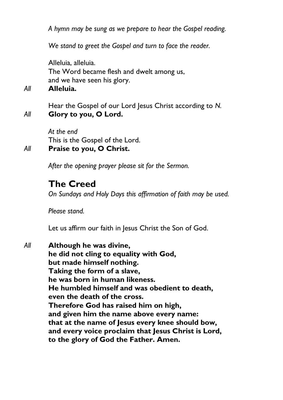*A hymn may be sung as we prepare to hear the Gospel reading.*

*We stand to greet the Gospel and turn to face the reader.*

Alleluia, alleluia. The Word became flesh and dwelt among us, and we have seen his glory.

*All* **Alleluia.**

Hear the Gospel of our Lord Jesus Christ according to *N. All* **Glory to you, O Lord.**

> *At the end* This is the Gospel of the Lord.

*All* **Praise to you, O Christ.**

*After the opening prayer please sit for the Sermon.*

## **The Creed**

*On Sundays and Holy Days this affirmation of faith may be used.*

*Please stand.*

Let us affirm our faith in Jesus Christ the Son of God.

*All* **Although he was divine, he did not cling to equality with God, but made himself nothing. Taking the form of a slave, he was born in human likeness. He humbled himself and was obedient to death, even the death of the cross. Therefore God has raised him on high, and given him the name above every name: that at the name of Jesus every knee should bow, and every voice proclaim that Jesus Christ is Lord, to the glory of God the Father. Amen.**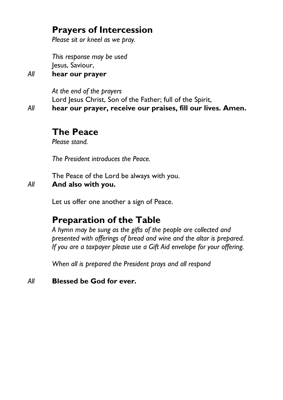# **Prayers of Intercession**

*Please sit or kneel as we pray.*

*This response may be used* Jesus, Saviour,

*All* **hear our prayer**

*At the end of the prayers* Lord Jesus Christ, Son of the Father; full of the Spirit, *All* **hear our prayer, receive our praises, fill our lives. Amen.**

### **The Peace**

*Please stand.*

*The President introduces the Peace.* 

The Peace of the Lord be always with you.

#### *All* **And also with you.**

Let us offer one another a sign of Peace.

## **Preparation of the Table**

*A hymn may be sung as the gifts of the people are collected and presented with offerings of bread and wine and the altar is prepared. If you are a taxpayer please use a Gift Aid envelope for your offering.*

*When all is prepared the President prays and all respond*

*All* **Blessed be God for ever.**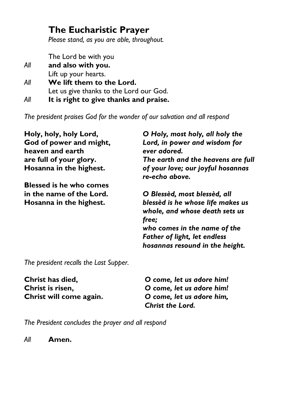# **The Eucharistic Prayer**

*Please stand, as you are able, throughout.*

The Lord be with you *All* **and also with you.**

| AII. | and also with you.                      |
|------|-----------------------------------------|
|      | Lift up your hearts.                    |
| All  | We lift them to the Lord.               |
|      | Let us give thanks to the Lord our God. |
| All  | It is right to give thanks and praise.  |

*The president praises God for the wonder of our salvation and all respond*

| Holy, holy, holy Lord,                      | O Holy, most holy, all holy the                                                                                                                                                        |
|---------------------------------------------|----------------------------------------------------------------------------------------------------------------------------------------------------------------------------------------|
| God of power and might,<br>heaven and earth | Lord, in power and wisdom for<br>ever adored.                                                                                                                                          |
| are full of your glory.                     | The earth and the heavens are full                                                                                                                                                     |
| Hosanna in the highest.                     | of your love; our joyful hosannas<br>re-echo above.                                                                                                                                    |
| <b>Blessed is he who comes</b>              |                                                                                                                                                                                        |
| in the name of the Lord.                    | O Blessèd, most blessèd, all                                                                                                                                                           |
| Hosanna in the highest.                     | blessèd is he whose life makes us<br>whole, and whose death sets us<br>free;<br>who comes in the name of the<br><b>Father of light, let endless</b><br>hosannas resound in the height. |
| The president recalls the Last Supper.      |                                                                                                                                                                                        |

**Christ has died, Christ is risen, Christ will come again.** *O come, let us adore him! O come, let us adore him! O come, let us adore him, Christ the Lord.*

*The President concludes the prayer and all respond*

*All* **Amen.**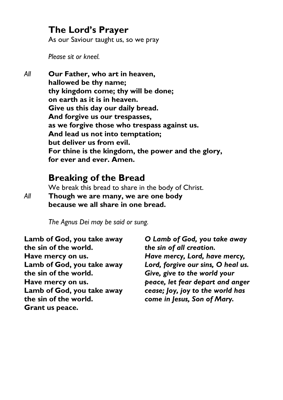## **The Lord's Prayer**

As our Saviour taught us, so we pray

*Please sit or kneel.*

*All* **Our Father, who art in heaven, hallowed be thy name; thy kingdom come; thy will be done; on earth as it is in heaven. Give us this day our daily bread. And forgive us our trespasses, as we forgive those who trespass against us. And lead us not into temptation; but deliver us from evil. For thine is the kingdom, the power and the glory, for ever and ever. Amen.**

## **Breaking of the Bread**

We break this bread to share in the body of Christ.

*All* **Though we are many, we are one body because we all share in one bread.**

*The Agnus Dei may be said or sung.*

**Lamb of God, you take away the sin of the world. Have mercy on us. Lamb of God, you take away the sin of the world. Have mercy on us. Lamb of God, you take away the sin of the world. Grant us peace.**

*O Lamb of God, you take away the sin of all creation. Have mercy, Lord, have mercy, Lord, forgive our sins, O heal us. Give, give to the world your peace, let fear depart and anger cease; Joy, joy to the world has come in Jesus, Son of Mary.*